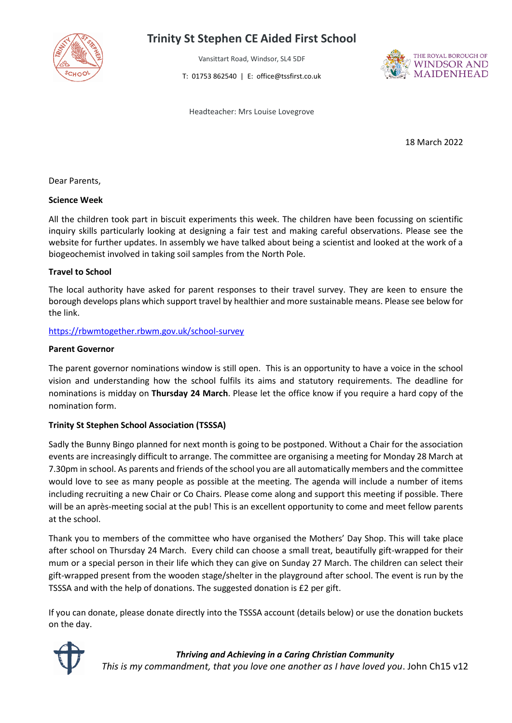

# **Trinity St Stephen CE Aided First School**

Vansittart Road, Windsor, SL4 5DF

T: 01753 862540 | E: office@tssfirst.co.uk



Headteacher: Mrs Louise Lovegrove

18 March 2022

Dear Parents,

#### **Science Week**

All the children took part in biscuit experiments this week. The children have been focussing on scientific inquiry skills particularly looking at designing a fair test and making careful observations. Please see the website for further updates. In assembly we have talked about being a scientist and looked at the work of a biogeochemist involved in taking soil samples from the North Pole.

# **Travel to School**

The local authority have asked for parent responses to their travel survey. They are keen to ensure the borough develops plans which support travel by healthier and more sustainable means. Please see below for the link.

#### <https://rbwmtogether.rbwm.gov.uk/school-survey>

#### **Parent Governor**

The parent governor nominations window is still open. This is an opportunity to have a voice in the school vision and understanding how the school fulfils its aims and statutory requirements. The deadline for nominations is midday on **Thursday 24 March**. Please let the office know if you require a hard copy of the nomination form.

# **Trinity St Stephen School Association (TSSSA)**

Sadly the Bunny Bingo planned for next month is going to be postponed. Without a Chair for the association events are increasingly difficult to arrange. The committee are organising a meeting for Monday 28 March at 7.30pm in school. As parents and friends of the school you are all automatically members and the committee would love to see as many people as possible at the meeting. The agenda will include a number of items including recruiting a new Chair or Co Chairs. Please come along and support this meeting if possible. There will be an après-meeting social at the pub! This is an excellent opportunity to come and meet fellow parents at the school.

Thank you to members of the committee who have organised the Mothers' Day Shop. This will take place after school on Thursday 24 March. Every child can choose a small treat, beautifully gift-wrapped for their mum or a special person in their life which they can give on Sunday 27 March. The children can select their gift-wrapped present from the wooden stage/shelter in the playground after school. The event is run by the TSSSA and with the help of donations. The suggested donation is £2 per gift.

If you can donate, please donate directly into the TSSSA account (details below) or use the donation buckets on the day.



#### *Thriving and Achieving in a Caring Christian Community*

*This is my commandment, that you love one another as I have loved you*. John Ch15 v12